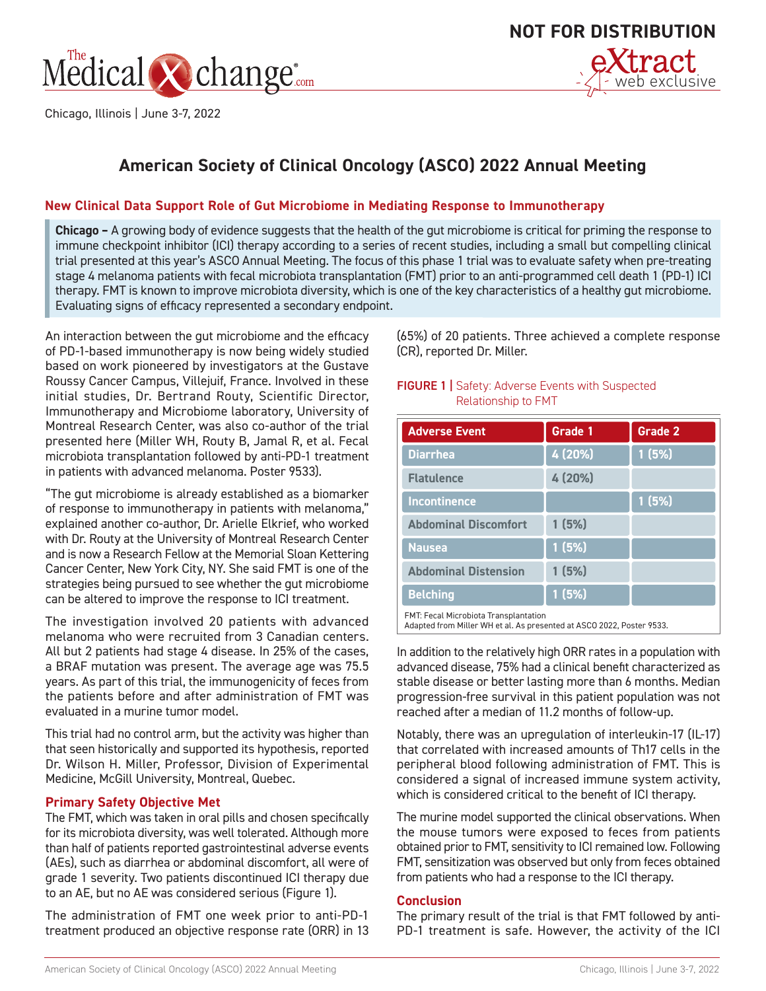

Chicago, Illinois | June 3-7, 2022



# **American Society of Clinical Oncology (ASCO) 2022 Annual Meeting**

## **New Clinical Data Support Role of Gut Microbiome in Mediating Response to Immunotherapy**

**Chicago –** A growing body of evidence suggests that the health of the gut microbiome is critical for priming the response to immune checkpoint inhibitor (ICI) therapy according to a series of recent studies, including a small but compelling clinical trial presented at this year's ASCO Annual Meeting. The focus of this phase 1 trial was to evaluate safety when pre-treating stage 4 melanoma patients with fecal microbiota transplantation (FMT) prior to an anti-programmed cell death 1 (PD-1) ICI therapy. FMT is known to improve microbiota diversity, which is one of the key characteristics of a healthy gut microbiome. Evaluating signs of efficacy represented a secondary endpoint.

An interaction between the gut microbiome and the efficacy of PD-1-based immunotherapy is now being widely studied based on work pioneered by investigators at the Gustave Roussy Cancer Campus, Villejuif, France. Involved in these initial studies, Dr. Bertrand Routy, Scientific Director, Immunotherapy and Microbiome laboratory, University of Montreal Research Center, was also co-author of the trial presented here (Miller WH, Routy B, Jamal R, et al. Fecal microbiota transplantation followed by anti-PD-1 treatment in patients with advanced melanoma. Poster 9533).

"The gut microbiome is already established as a biomarker of response to immunotherapy in patients with melanoma," explained another co-author, Dr. Arielle Elkrief, who worked with Dr. Routy at the University of Montreal Research Center and is now a Research Fellow at the Memorial Sloan Kettering Cancer Center, New York City, NY. She said FMT is one of the strategies being pursued to see whether the gut microbiome can be altered to improve the response to ICI treatment.

The investigation involved 20 patients with advanced melanoma who were recruited from 3 Canadian centers. All but 2 patients had stage 4 disease. In 25% of the cases, a BRAF mutation was present. The average age was 75.5 years. As part of this trial, the immunogenicity of feces from the patients before and after administration of FMT was evaluated in a murine tumor model.

This trial had no control arm, but the activity was higher than that seen historically and supported its hypothesis, reported Dr. Wilson H. Miller, Professor, Division of Experimental Medicine, McGill University, Montreal, Quebec.

## **Primary Safety Objective Met**

The FMT, which was taken in oral pills and chosen specifically for its microbiota diversity, was well tolerated. Although more than half of patients reported gastrointestinal adverse events (AEs), such as diarrhea or abdominal discomfort, all were of grade 1 severity. Two patients discontinued ICI therapy due to an AE, but no AE was considered serious (Figure 1).

The administration of FMT one week prior to anti-PD-1 treatment produced an objective response rate (ORR) in 13

(65%) of 20 patients. Three achieved a complete response (CR), reported Dr. Miller.

#### **FIGURE 1 |** Safety: Adverse Events with Suspected Relationship to FMT

| <b>Adverse Event</b>                  | Grade 1 | Grade 2 |
|---------------------------------------|---------|---------|
| <b>Diarrhea</b>                       | 4 (20%) | 1(5%)   |
| <b>Flatulence</b>                     | 4 (20%) |         |
| <b>Incontinence</b>                   |         | 1(5%)   |
| <b>Abdominal Discomfort</b>           | 1(5%)   |         |
| <b>Nausea</b>                         | 1(5%)   |         |
| <b>Abdominal Distension</b>           | 1(5%)   |         |
| <b>Belching</b>                       | 1(5%)   |         |
| FMT: Fecal Microbiota Transplantation |         |         |

Adapted from Miller WH et al. As presented at ASCO 2022, Poster 9533.

In addition to the relatively high ORR rates in a population with advanced disease, 75% had a clinical benefit characterized as stable disease or better lasting more than 6 months. Median progression-free survival in this patient population was not reached after a median of 11.2 months of follow-up.

Notably, there was an upregulation of interleukin-17 (IL-17) that correlated with increased amounts of Th17 cells in the peripheral blood following administration of FMT. This is considered a signal of increased immune system activity, which is considered critical to the benefit of ICI therapy.

The murine model supported the clinical observations. When the mouse tumors were exposed to feces from patients obtained prior to FMT, sensitivity to ICI remained low. Following FMT, sensitization was observed but only from feces obtained from patients who had a response to the ICI therapy.

#### **Conclusion**

The primary result of the trial is that FMT followed by anti-PD-1 treatment is safe. However, the activity of the ICI